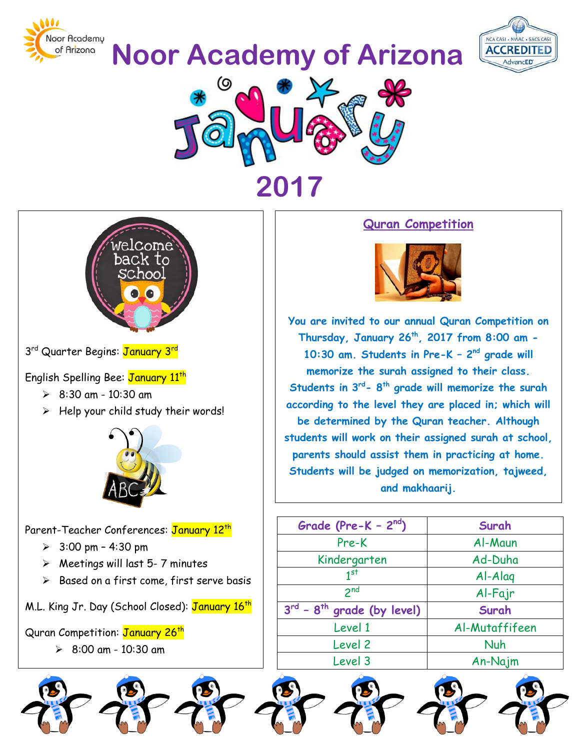

**Noor Academy of Arizona**







3<sup>rd</sup> Quarter Begins: January 3<sup>rd</sup>

English Spelling Bee: January 11<sup>th</sup>

- $\geq$  8:30 am 10:30 am
- $\triangleright$  Help your child study their words!



Parent-Teacher Conferences: January 12<sup>th</sup>

- $> 3:00 \text{ pm} 4:30 \text{ pm}$
- $\triangleright$  Meetings will last 5-7 minutes
- $\triangleright$  Based on a first come, first serve basis

M.L. King Jr. Day (School Closed): January 16<sup>th</sup>

Quran Competition: January 26<sup>th</sup>

 $8:00$  am - 10:30 am

## **Quran Competition**



**You are invited to our annual Quran Competition on Thursday, January 26th, 2017 from 8:00 am - 10:30 am. Students in Pre-K – 2nd grade will memorize the surah assigned to their class. Students in 3rd- 8th grade will memorize the surah according to the level they are placed in; which will be determined by the Quran teacher. Although students will work on their assigned surah at school, parents should assist them in practicing at home. Students will be judged on memorization, tajweed, and makhaarij.**

| Grade (Pre-K - $2^{nd}$ )            | Surah          |
|--------------------------------------|----------------|
| Pre-K                                | Al-Maun        |
| Kindergarten                         | Ad-Duha        |
| 1 <sup>st</sup>                      | $A$ -Alaq      |
| 2 <sub>nd</sub>                      | Al-Fajr        |
| $3^{rd}$ - $8^{th}$ grade (by level) | Surah          |
| Level 1                              | Al-Mutaffifeen |
| Level 2                              | Nuh            |
| Level 3                              | An-Najm        |